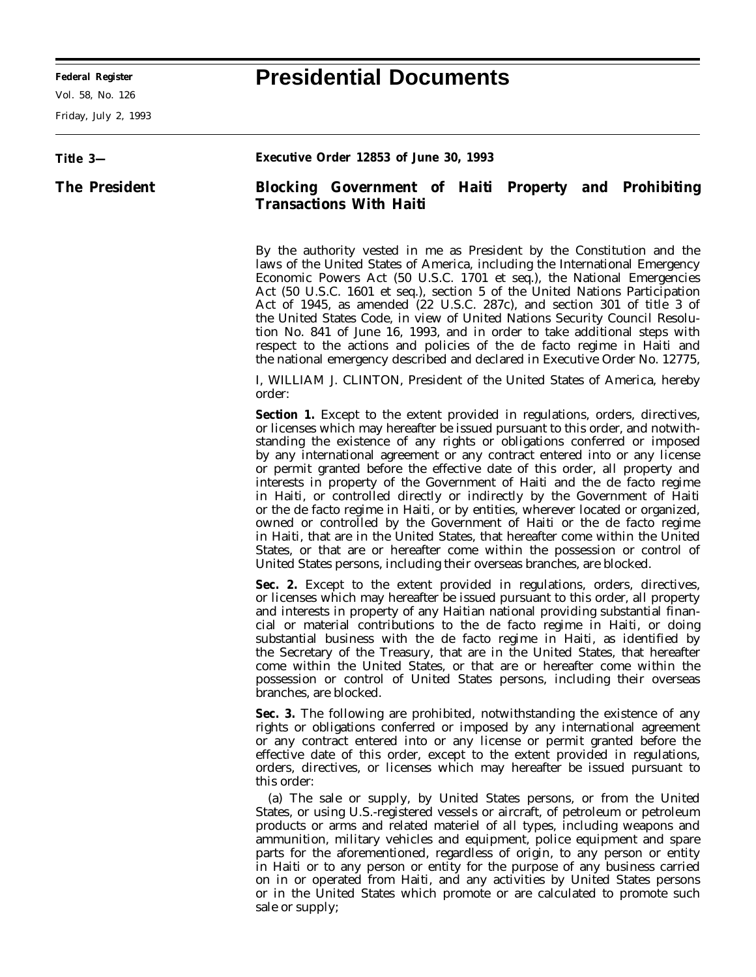Friday, July 2, 1993

## **Federal Register Presidential Documents**

| Title 3-             | Executive Order 12853 of June 30, 1993                                                                                                                                                                                                                                                                                                                                                                                                                                                                                                                                                                                                                                                                                                                                                                                                                                                                                                                                                     |
|----------------------|--------------------------------------------------------------------------------------------------------------------------------------------------------------------------------------------------------------------------------------------------------------------------------------------------------------------------------------------------------------------------------------------------------------------------------------------------------------------------------------------------------------------------------------------------------------------------------------------------------------------------------------------------------------------------------------------------------------------------------------------------------------------------------------------------------------------------------------------------------------------------------------------------------------------------------------------------------------------------------------------|
| <b>The President</b> | <b>Blocking Government of Haiti Property and Prohibiting</b><br><b>Transactions With Haiti</b>                                                                                                                                                                                                                                                                                                                                                                                                                                                                                                                                                                                                                                                                                                                                                                                                                                                                                             |
|                      | By the authority vested in me as President by the Constitution and the<br>laws of the United States of America, including the International Emergency<br>Economic Powers Act (50 U.S.C. 1701 et seq.), the National Emergencies<br>Act (50 U.S.C. 1601 <i>et seq.</i> ), section 5 of the United Nations Participation<br>Act of 1945, as amended (22 U.S.C. 287c), and section 301 of title 3 of<br>the United States Code, in view of United Nations Security Council Resolu-<br>tion No. 841 of June 16, 1993, and in order to take additional steps with<br>respect to the actions and policies of the <i>de facto</i> regime in Haiti and<br>the national emergency described and declared in Executive Order No. 12775,                                                                                                                                                                                                                                                              |
|                      | I, WILLIAM J. CLINTON, President of the United States of America, hereby<br>order:                                                                                                                                                                                                                                                                                                                                                                                                                                                                                                                                                                                                                                                                                                                                                                                                                                                                                                         |
|                      | <b>Section 1.</b> Except to the extent provided in regulations, orders, directives,<br>or licenses which may hereafter be issued pursuant to this order, and notwith-<br>standing the existence of any rights or obligations conferred or imposed<br>by any international agreement or any contract entered into or any license<br>or permit granted before the effective date of this order, all property and<br>interests in property of the Government of Haiti and the <i>de facto</i> regime<br>in Haiti, or controlled directly or indirectly by the Government of Haiti<br>or the <i>de facto</i> regime in Haiti, or by entities, wherever located or organized,<br>owned or controlled by the Government of Haiti or the de facto regime<br>in Haiti, that are in the United States, that hereafter come within the United<br>States, or that are or hereafter come within the possession or control of<br>United States persons, including their overseas branches, are blocked. |
|                      | Sec. 2. Except to the extent provided in regulations, orders, directives,<br>or licenses which may hereafter be issued pursuant to this order, all property<br>and interests in property of any Haitian national providing substantial finan-<br>cial or material contributions to the <i>de facto</i> regime in Haiti, or doing<br>substantial business with the <i>de facto</i> regime in Haiti, as identified by<br>the Secretary of the Treasury, that are in the United States, that hereafter<br>come within the United States, or that are or hereafter come within the<br>possession or control of United States persons, including their overseas<br>branches, are blocked.                                                                                                                                                                                                                                                                                                       |
|                      | Sec. 3. The following are prohibited, notwithstanding the existence of any<br>rights or obligations conferred or imposed by any international agreement<br>or any contract entered into or any license or permit granted before the<br>effective date of this order, except to the extent provided in regulations,<br>orders, directives, or licenses which may hereafter be issued pursuant to<br>this order:                                                                                                                                                                                                                                                                                                                                                                                                                                                                                                                                                                             |
|                      | (a) The sale or supply, by United States persons, or from the United<br>States, or using U.S.-registered vessels or aircraft, of petroleum or petroleum<br>products or arms and related materiel of all types, including weapons and<br>ammunition, military vehicles and equipment, police equipment and spare<br>parts for the aforementioned, regardless of origin, to any person or entity<br>in Haiti or to any person or entity for the purpose of any business carried<br>on in or operated from Haiti, and any activities by United States persons<br>or in the United States which promote or are calculated to promote such                                                                                                                                                                                                                                                                                                                                                      |

sale or supply;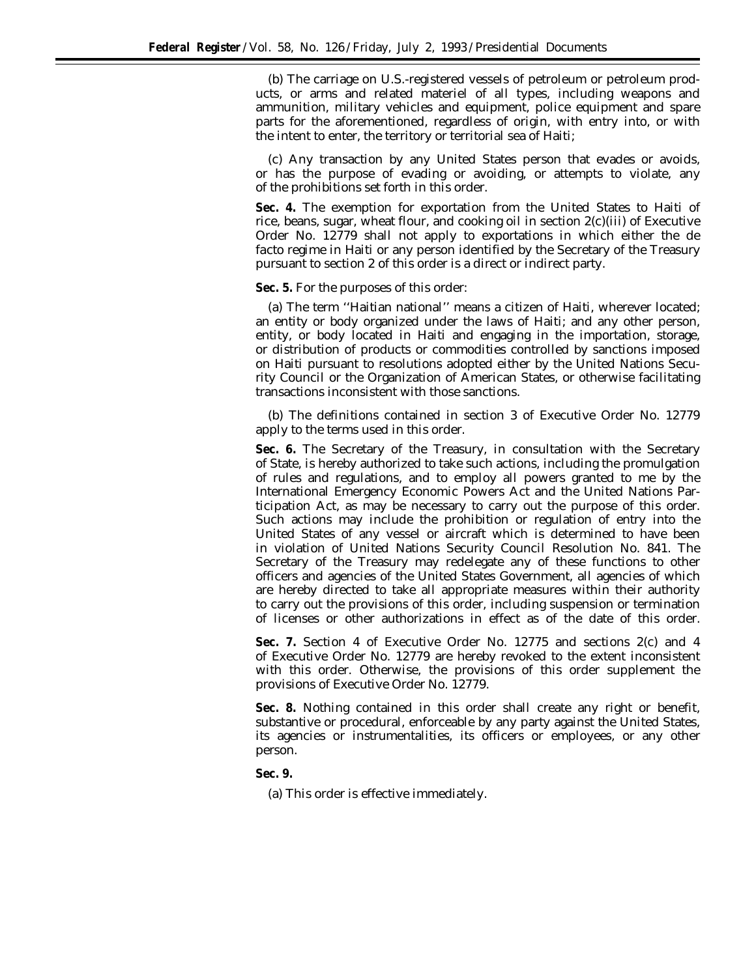(b) The carriage on U.S.-registered vessels of petroleum or petroleum products, or arms and related materiel of all types, including weapons and ammunition, military vehicles and equipment, police equipment and spare parts for the aforementioned, regardless of origin, with entry into, or with the intent to enter, the territory or territorial sea of Haiti;

(c) Any transaction by any United States person that evades or avoids, or has the purpose of evading or avoiding, or attempts to violate, any of the prohibitions set forth in this order.

**Sec. 4.** The exemption for exportation from the United States to Haiti of rice, beans, sugar, wheat flour, and cooking oil in section 2(c)(iii) of Executive Order No. 12779 shall not apply to exportations in which either the *de facto* regime in Haiti or any person identified by the Secretary of the Treasury pursuant to section 2 of this order is a direct or indirect party.

**Sec. 5.** For the purposes of this order:

(a) The term ''Haitian national'' means a citizen of Haiti, wherever located; an entity or body organized under the laws of Haiti; and any other person, entity, or body located in Haiti and engaging in the importation, storage, or distribution of products or commodities controlled by sanctions imposed on Haiti pursuant to resolutions adopted either by the United Nations Security Council or the Organization of American States, or otherwise facilitating transactions inconsistent with those sanctions.

(b) The definitions contained in section 3 of Executive Order No. 12779 apply to the terms used in this order.

**Sec. 6.** The Secretary of the Treasury, in consultation with the Secretary of State, is hereby authorized to take such actions, including the promulgation of rules and regulations, and to employ all powers granted to me by the International Emergency Economic Powers Act and the United Nations Participation Act, as may be necessary to carry out the purpose of this order. Such actions may include the prohibition or regulation of entry into the United States of any vessel or aircraft which is determined to have been in violation of United Nations Security Council Resolution No. 841. The Secretary of the Treasury may redelegate any of these functions to other officers and agencies of the United States Government, all agencies of which are hereby directed to take all appropriate measures within their authority to carry out the provisions of this order, including suspension or termination of licenses or other authorizations in effect as of the date of this order.

**Sec. 7.** Section 4 of Executive Order No. 12775 and sections 2(c) and 4 of Executive Order No. 12779 are hereby revoked to the extent inconsistent with this order. Otherwise, the provisions of this order supplement the provisions of Executive Order No. 12779.

**Sec. 8.** Nothing contained in this order shall create any right or benefit, substantive or procedural, enforceable by any party against the United States, its agencies or instrumentalities, its officers or employees, or any other person.

## **Sec. 9.**

(a) This order is effective immediately.